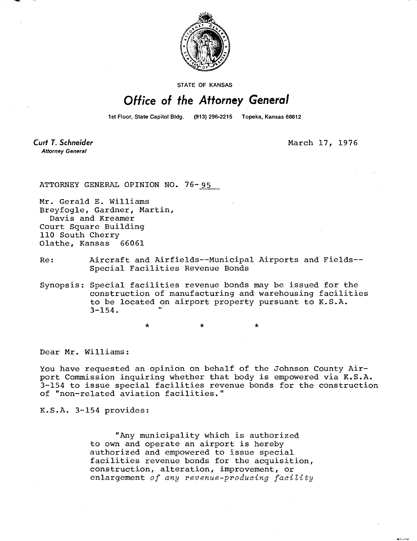

STATE OF KANSAS

## Office of the Attorney General

1st Floor, State Capitol Bldg. (913) 296-2215 Topeka, Kansas 66612

**Curt T. Schneider Attorney General** 

March 17, 1976

ATTORNEY GENERAL OPINION NO. 76-95

Mr. Gerald E. Williams Breyfogle, Gardner, Martin, Davis and Kreamer Court Square Building 110 South Cherry Olathe, Kansas 66061

Re: Aircraft and Airfields--Municipal Airports and Fields-- Special Facilities Revenue Bonds

Synopsis: Special facilities revenue bonds may be issued for the construction of manufacturing and warehousing facilities to be located on airport property pursuant to K.S.A.  $3 - 154$ .

Dear Mr. Williams:

You have requested an opinion on behalf of the Johnson County Airport Commission inquiring whether that body is empowered via K.S.A. 3-154 to issue special facilities revenue bonds for the construction of "non-related aviation facilities."

K.S.A. 3-154 provides:

"Any municipality which is authorized to own and operate an airport is hereby authorized and empowered to issue special facilities revenue bonds for the acquisition, construction, alteration, improvement, or enlargement of any revenue-producing facility